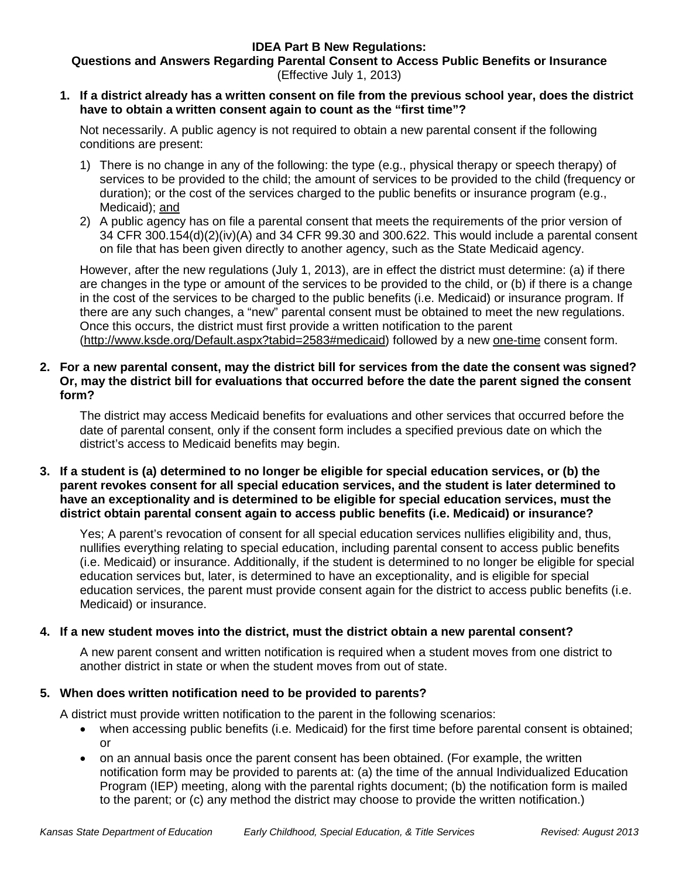# **IDEA Part B New Regulations:**

**Questions and Answers Regarding Parental Consent to Access Public Benefits or Insurance** (Effective July 1, 2013)

**1. If a district already has a written consent on file from the previous school year, does the district have to obtain a written consent again to count as the "first time"?**

Not necessarily. A public agency is not required to obtain a new parental consent if the following conditions are present:

- 1) There is no change in any of the following: the type (e.g., physical therapy or speech therapy) of services to be provided to the child; the amount of services to be provided to the child (frequency or duration); or the cost of the services charged to the public benefits or insurance program (e.g., Medicaid); and
- 2) A public agency has on file a parental consent that meets the requirements of the prior version of 34 CFR 300.154(d)(2)(iv)(A) and 34 CFR 99.30 and 300.622. This would include a parental consent on file that has been given directly to another agency, such as the State Medicaid agency.

However, after the new regulations (July 1, 2013), are in effect the district must determine: (a) if there are changes in the type or amount of the services to be provided to the child, or (b) if there is a change in the cost of the services to be charged to the public benefits (i.e. Medicaid) or insurance program. If there are any such changes, a "new" parental consent must be obtained to meet the new regulations. Once this occurs, the district must first provide a written notification to the parent [\(http://www.ksde.org/Default.aspx?tabid=2583#medicaid\)](http://www.ksde.org/Default.aspx?tabid=2583#medicaid) followed by a new one-time consent form.

**2. For a new parental consent, may the district bill for services from the date the consent was signed? Or, may the district bill for evaluations that occurred before the date the parent signed the consent form?**

The district may access Medicaid benefits for evaluations and other services that occurred before the date of parental consent, only if the consent form includes a specified previous date on which the district's access to Medicaid benefits may begin.

**3. If a student is (a) determined to no longer be eligible for special education services, or (b) the parent revokes consent for all special education services, and the student is later determined to have an exceptionality and is determined to be eligible for special education services, must the district obtain parental consent again to access public benefits (i.e. Medicaid) or insurance?**

Yes; A parent's revocation of consent for all special education services nullifies eligibility and, thus, nullifies everything relating to special education, including parental consent to access public benefits (i.e. Medicaid) or insurance. Additionally, if the student is determined to no longer be eligible for special education services but, later, is determined to have an exceptionality, and is eligible for special education services, the parent must provide consent again for the district to access public benefits (i.e. Medicaid) or insurance.

# **4. If a new student moves into the district, must the district obtain a new parental consent?**

A new parent consent and written notification is required when a student moves from one district to another district in state or when the student moves from out of state.

# **5. When does written notification need to be provided to parents?**

A district must provide written notification to the parent in the following scenarios:

- when accessing public benefits (i.e. Medicaid) for the first time before parental consent is obtained; or
- on an annual basis once the parent consent has been obtained. (For example, the written notification form may be provided to parents at: (a) the time of the annual Individualized Education Program (IEP) meeting, along with the parental rights document; (b) the notification form is mailed to the parent; or (c) any method the district may choose to provide the written notification.)